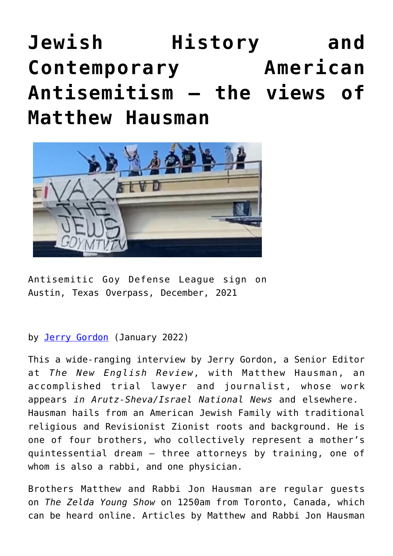## **[Jewish History and](https://www.newenglishreview.org/articles/jewish-history-and-contemporary-american-antisemitism-the-views-of-matthew-hausman/) [Contemporary American](https://www.newenglishreview.org/articles/jewish-history-and-contemporary-american-antisemitism-the-views-of-matthew-hausman/) [Antisemitism – the views of](https://www.newenglishreview.org/articles/jewish-history-and-contemporary-american-antisemitism-the-views-of-matthew-hausman/) [Matthew Hausman](https://www.newenglishreview.org/articles/jewish-history-and-contemporary-american-antisemitism-the-views-of-matthew-hausman/)**



Antisemitic Goy Defense League sign on Austin, Texas Overpass, December, 2021

## by [Jerry Gordon](https://www.newenglishreview.org/authors/jerry-gordon/?) (January 2022)

This a wide-ranging interview by Jerry Gordon, a Senior Editor at *The New English Review*, with Matthew Hausman, an accomplished trial lawyer and journalist, whose work appears *in Arutz-Sheva/Israel National News* and elsewhere. Hausman hails from an American Jewish Family with traditional religious and Revisionist Zionist roots and background. He is one of four brothers, who collectively represent a mother's quintessential dream — three attorneys by training, one of whom is also a rabbi, and one physician.

Brothers Matthew and Rabbi Jon Hausman are regular guests on *The Zelda Young Show* on 1250am from Toronto, Canada, which can be heard online. Articles by Matthew and Rabbi Jon Hausman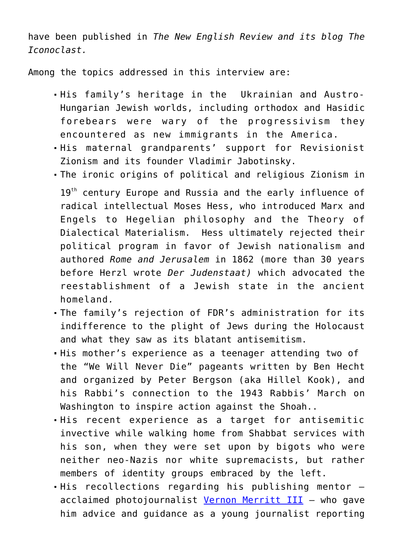have been published in *The New English Review and its blog The Iconoclast.*

Among the topics addressed in this interview are:

- His family's heritage in the Ukrainian and Austro-Hungarian Jewish worlds, including orthodox and Hasidic forebears were wary of the progressivism they encountered as new immigrants in the America.
- His maternal grandparents' support for Revisionist Zionism and its founder Vladimir Jabotinsky.
- The ironic origins of political and religious Zionism in 19<sup>th</sup> century Europe and Russia and the early influence of radical intellectual Moses Hess, who introduced Marx and Engels to Hegelian philosophy and the Theory of Dialectical Materialism. Hess ultimately rejected their political program in favor of Jewish nationalism and authored *Rome and Jerusalem* in 1862 (more than 30 years before Herzl wrote *Der Judenstaat)* which advocated the reestablishment of a Jewish state in the ancient homeland*.*
- The family's rejection of FDR's administration for its indifference to the plight of Jews during the Holocaust and what they saw as its blatant antisemitism.
- His mother's experience as a teenager attending two of the "We Will Never Die" pageants written by Ben Hecht and organized by Peter Bergson (aka Hillel Kook), and his Rabbi's connection to the 1943 Rabbis' March on Washington to inspire action against the Shoah..
- His recent experience as a target for antisemitic invective while walking home from Shabbat services with his son, when they were set upon by bigots who were neither neo-Nazis nor white supremacists, but rather members of identity groups embraced by the left.
- His recollections regarding his publishing mentor acclaimed photojournalist [Vernon Merritt III](https://www.latimes.com/archives/la-xpm-2000-sep-04-me-15209-story.html) - who gave him advice and guidance as a young journalist reporting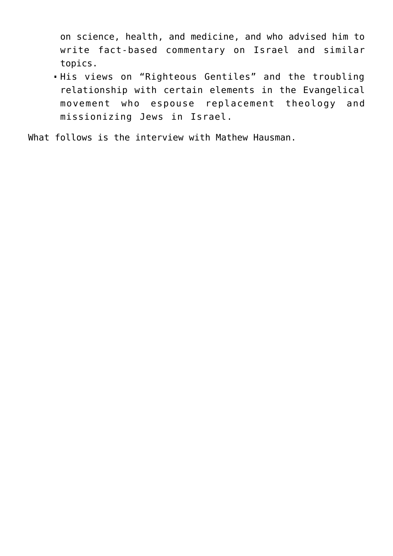on science, health, and medicine, and who advised him to write fact-based commentary on Israel and similar topics.

His views on "Righteous Gentiles" and the troubling relationship with certain elements in the Evangelical movement who espouse replacement theology and missionizing Jews in Israel.

What follows is the interview with Mathew Hausman.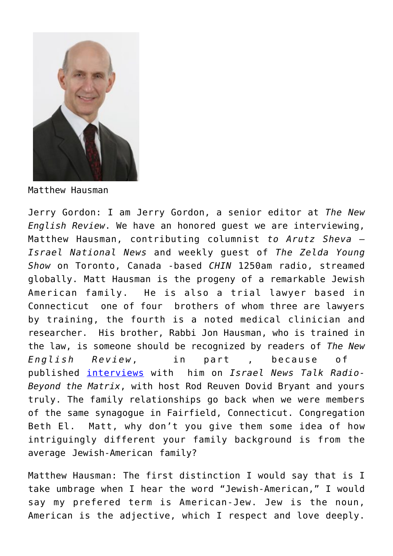

Matthew Hausman

Jerry Gordon: I am Jerry Gordon, a senior editor at *The New English Review*. We have an honored guest we are interviewing, Matthew Hausman, contributing columnist *to Arutz Sheva – Israel National News* and weekly guest of *The Zelda Young Show* on Toronto, Canada -based *CHIN* 1250am radio, streamed globally. Matt Hausman is the progeny of a remarkable Jewish American family. He is also a trial lawyer based in Connecticut one of four brothers of whom three are lawyers by training, the fourth is a noted medical clinician and researcher. His brother, Rabbi Jon Hausman, who is trained in the law, is someone should be recognized by readers of *The New English Review*, in part , because of published [interviews](https://www.newenglishreview.org/custpage.cfm?frm=189861&sec_id=189861) with him on *Israel News Talk Radio-Beyond the Matrix*, with host Rod Reuven Dovid Bryant and yours truly. The family relationships go back when we were members of the same synagogue in Fairfield, Connecticut. Congregation Beth El. Matt, why don't you give them some idea of how intriguingly different your family background is from the average Jewish-American family?

Matthew Hausman: The first distinction I would say that is I take umbrage when I hear the word "Jewish-American," I would say my prefered term is American-Jew. Jew is the noun, American is the adjective, which I respect and love deeply.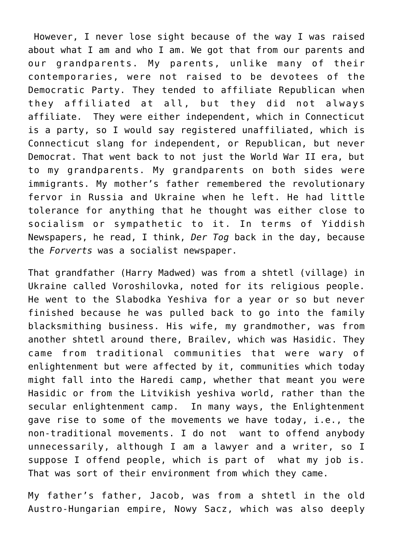However, I never lose sight because of the way I was raised about what I am and who I am. We got that from our parents and our grandparents. My parents, unlike many of their contemporaries, were not raised to be devotees of the Democratic Party. They tended to affiliate Republican when they affiliated at all, but they did not always affiliate. They were either independent, which in Connecticut is a party, so I would say registered unaffiliated, which is Connecticut slang for independent, or Republican, but never Democrat. That went back to not just the World War II era, but to my grandparents. My grandparents on both sides were immigrants. My mother's father remembered the revolutionary fervor in Russia and Ukraine when he left. He had little tolerance for anything that he thought was either close to socialism or sympathetic to it. In terms of Yiddish Newspapers, he read, I think, *Der Tog* back in the day, because the *Forverts* was a socialist newspaper.

That grandfather (Harry Madwed) was from a shtetl (village) in Ukraine called Voroshilovka, noted for its religious people. He went to the Slabodka Yeshiva for a year or so but never finished because he was pulled back to go into the family blacksmithing business. His wife, my grandmother, was from another shtetl around there, Brailev, which was Hasidic. They came from traditional communities that were wary of enlightenment but were affected by it, communities which today might fall into the Haredi camp, whether that meant you were Hasidic or from the Litvikish yeshiva world, rather than the secular enlightenment camp. In many ways, the Enlightenment gave rise to some of the movements we have today, i.e., the non-traditional movements. I do not want to offend anybody unnecessarily, although I am a lawyer and a writer, so I suppose I offend people, which is part of what my job is. That was sort of their environment from which they came.

My father's father, Jacob, was from a shtetl in the old Austro-Hungarian empire, Nowy Sacz, which was also deeply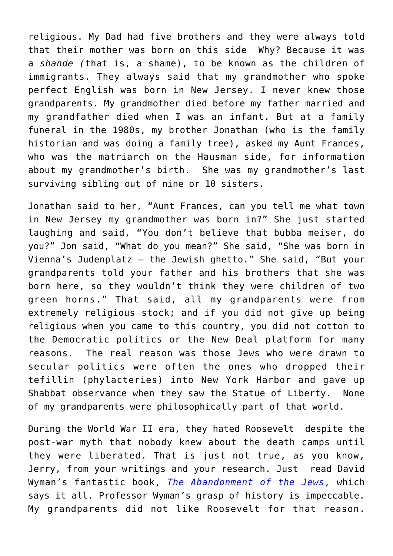religious. My Dad had five brothers and they were always told that their mother was born on this side Why? Because it was a *shande (*that is, a shame), to be known as the children of immigrants. They always said that my grandmother who spoke perfect English was born in New Jersey. I never knew those grandparents. My grandmother died before my father married and my grandfather died when I was an infant. But at a family funeral in the 1980s, my brother Jonathan (who is the family historian and was doing a family tree), asked my Aunt Frances, who was the matriarch on the Hausman side, for information about my grandmother's birth. She was my grandmother's last surviving sibling out of nine or 10 sisters.

Jonathan said to her, "Aunt Frances, can you tell me what town in New Jersey my grandmother was born in?" She just started laughing and said, "You don't believe that bubba meiser, do you?" Jon said, "What do you mean?" She said, "She was born in Vienna's Judenplatz — the Jewish ghetto." She said, "But your grandparents told your father and his brothers that she was born here, so they wouldn't think they were children of two green horns." That said, all my grandparents were from extremely religious stock; and if you did not give up being religious when you came to this country, you did not cotton to the Democratic politics or the New Deal platform for many reasons. The real reason was those Jews who were drawn to secular politics were often the ones who dropped their tefillin (phylacteries) into New York Harbor and gave up Shabbat observance when they saw the Statue of Liberty. None of my grandparents were philosophically part of that world.

During the World War II era, they hated Roosevelt despite the post-war myth that nobody knew about the death camps until they were liberated. That is just not true, as you know, Jerry, from your writings and your research. Just read David Wyman's fantastic book, *[The Abandonment of the Jews](https://www.amazon.com/Abandonment-Jews-America-Holocaust-1941-1945-ebook/dp/B07M9FSZQV)*[,](https://www.amazon.com/Abandonment-Jews-America-Holocaust-1941-1945-ebook/dp/B07M9FSZQV) which says it all. Professor Wyman's grasp of history is impeccable. My grandparents did not like Roosevelt for that reason.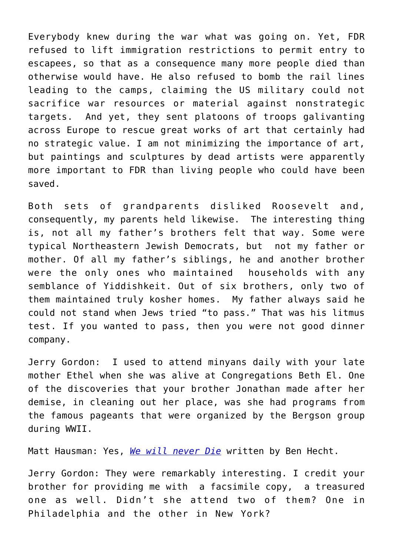Everybody knew during the war what was going on. Yet, FDR refused to lift immigration restrictions to permit entry to escapees, so that as a consequence many more people died than otherwise would have. He also refused to bomb the rail lines leading to the camps, claiming the US military could not sacrifice war resources or material against nonstrategic targets. And yet, they sent platoons of troops galivanting across Europe to rescue great works of art that certainly had no strategic value. I am not minimizing the importance of art, but paintings and sculptures by dead artists were apparently more important to FDR than living people who could have been saved.

Both sets of grandparents disliked Roosevelt and, consequently, my parents held likewise. The interesting thing is, not all my father's brothers felt that way. Some were typical Northeastern Jewish Democrats, but not my father or mother. Of all my father's siblings, he and another brother were the only ones who maintained households with any semblance of Yiddishkeit. Out of six brothers, only two of them maintained truly kosher homes. My father always said he could not stand when Jews tried "to pass." That was his litmus test. If you wanted to pass, then you were not good dinner company.

Jerry Gordon: I used to attend minyans daily with your late mother Ethel when she was alive at Congregations Beth El. One of the discoveries that your brother Jonathan made after her demise, in cleaning out her place, was she had programs from the famous pageants that were organized by the Bergson group during WWII.

Matt Hausman: Yes, *[We will never Die](https://encyclopedia.ushmm.org/content/en/article/the-we-will-never-die-pageant)* written by Ben Hecht.

Jerry Gordon: They were remarkably interesting. I credit your brother for providing me with a facsimile copy, a treasured one as well. Didn't she attend two of them? One in Philadelphia and the other in New York?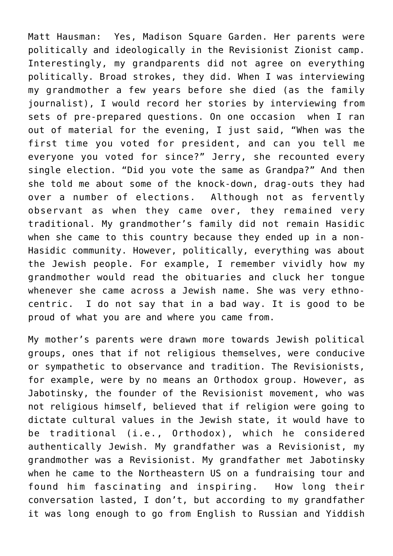Matt Hausman: Yes, Madison Square Garden. Her parents were politically and ideologically in the Revisionist Zionist camp. Interestingly, my grandparents did not agree on everything politically. Broad strokes, they did. When I was interviewing my grandmother a few years before she died (as the family journalist), I would record her stories by interviewing from sets of pre-prepared questions. On one occasion when I ran out of material for the evening, I just said, "When was the first time you voted for president, and can you tell me everyone you voted for since?" Jerry, she recounted every single election. "Did you vote the same as Grandpa?" And then she told me about some of the knock-down, drag-outs they had over a number of elections. Although not as fervently observant as when they came over, they remained very traditional. My grandmother's family did not remain Hasidic when she came to this country because they ended up in a non-Hasidic community. However, politically, everything was about the Jewish people. For example, I remember vividly how my grandmother would read the obituaries and cluck her tongue whenever she came across a Jewish name. She was very ethnocentric. I do not say that in a bad way. It is good to be proud of what you are and where you came from.

My mother's parents were drawn more towards Jewish political groups, ones that if not religious themselves, were conducive or sympathetic to observance and tradition. The Revisionists, for example, were by no means an Orthodox group. However, as Jabotinsky, the founder of the Revisionist movement, who was not religious himself, believed that if religion were going to dictate cultural values in the Jewish state, it would have to be traditional (i.e., Orthodox), which he considered authentically Jewish. My grandfather was a Revisionist, my grandmother was a Revisionist. My grandfather met Jabotinsky when he came to the Northeastern US on a fundraising tour and found him fascinating and inspiring. How long their conversation lasted, I don't, but according to my grandfather it was long enough to go from English to Russian and Yiddish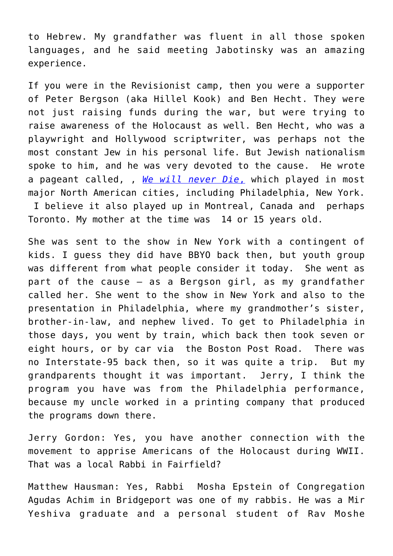to Hebrew. My grandfather was fluent in all those spoken languages, and he said meeting Jabotinsky was an amazing experience.

If you were in the Revisionist camp, then you were a supporter of Peter Bergson (aka Hillel Kook) and Ben Hecht. They were not just raising funds during the war, but were trying to raise awareness of the Holocaust as well. Ben Hecht, who was a playwright and Hollywood scriptwriter, was perhaps not the most constant Jew in his personal life. But Jewish nationalism spoke to him, and he was very devoted to the cause. He wrote a pageant called, , *[We will never Die](https://encyclopedia.ushmm.org/content/en/article/the-we-will-never-die-pageant)*[,](https://encyclopedia.ushmm.org/content/en/article/the-we-will-never-die-pageant) which played in most major North American cities, including Philadelphia, New York. I believe it also played up in Montreal, Canada and perhaps Toronto. My mother at the time was 14 or 15 years old.

She was sent to the show in New York with a contingent of kids. I guess they did have BBYO back then, but youth group was different from what people consider it today. She went as part of the cause – as a Bergson girl, as my grandfather called her. She went to the show in New York and also to the presentation in Philadelphia, where my grandmother's sister, brother-in-law, and nephew lived. To get to Philadelphia in those days, you went by train, which back then took seven or eight hours, or by car via the Boston Post Road. There was no Interstate-95 back then, so it was quite a trip. But my grandparents thought it was important. Jerry, I think the program you have was from the Philadelphia performance, because my uncle worked in a printing company that produced the programs down there.

Jerry Gordon: Yes, you have another connection with the movement to apprise Americans of the Holocaust during WWII. That was a local Rabbi in Fairfield?

Matthew Hausman: Yes, Rabbi Mosha Epstein of Congregation Agudas Achim in Bridgeport was one of my rabbis. He was a Mir Yeshiva graduate and a personal student of Rav Moshe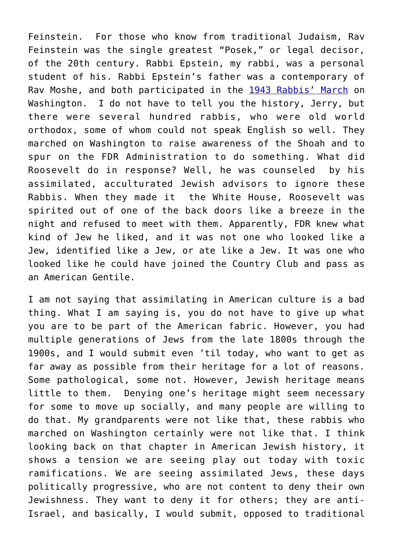Feinstein. For those who know from traditional Judaism, Rav Feinstein was the single greatest "Posek," or legal decisor, of the 20th century. Rabbi Epstein, my rabbi, was a personal student of his. Rabbi Epstein's father was a contemporary of Rav Moshe, and both participated in the [1943 Rabbis' March](https://yated.com/a-cry-in-the-wilderness-when-the-rabbis-marched-on-washington/) on Washington. I do not have to tell you the history, Jerry, but there were several hundred rabbis, who were old world orthodox, some of whom could not speak English so well. They marched on Washington to raise awareness of the Shoah and to spur on the FDR Administration to do something. What did Roosevelt do in response? Well, he was counseled by his assimilated, acculturated Jewish advisors to ignore these Rabbis. When they made it the White House, Roosevelt was spirited out of one of the back doors like a breeze in the night and refused to meet with them. Apparently, FDR knew what kind of Jew he liked, and it was not one who looked like a Jew, identified like a Jew, or ate like a Jew. It was one who looked like he could have joined the Country Club and pass as an American Gentile.

I am not saying that assimilating in American culture is a bad thing. What I am saying is, you do not have to give up what you are to be part of the American fabric. However, you had multiple generations of Jews from the late 1800s through the 1900s, and I would submit even 'til today, who want to get as far away as possible from their heritage for a lot of reasons. Some pathological, some not. However, Jewish heritage means little to them. Denying one's heritage might seem necessary for some to move up socially, and many people are willing to do that. My grandparents were not like that, these rabbis who marched on Washington certainly were not like that. I think looking back on that chapter in American Jewish history, it shows a tension we are seeing play out today with toxic ramifications. We are seeing assimilated Jews, these days politically progressive, who are not content to deny their own Jewishness. They want to deny it for others; they are anti-Israel, and basically, I would submit, opposed to traditional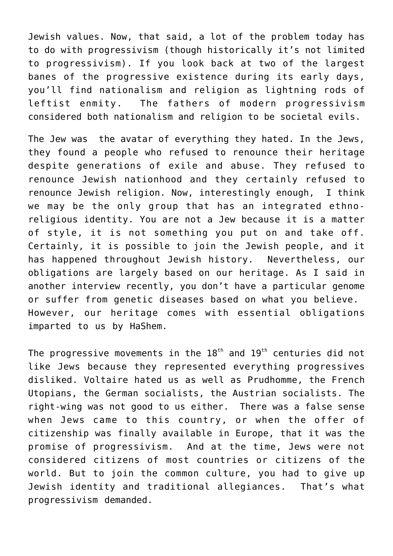Jewish values. Now, that said, a lot of the problem today has to do with progressivism (though historically it's not limited to progressivism). If you look back at two of the largest banes of the progressive existence during its early days, you'll find nationalism and religion as lightning rods of leftist enmity. The fathers of modern progressivism considered both nationalism and religion to be societal evils.

The Jew was the avatar of everything they hated. In the Jews, they found a people who refused to renounce their heritage despite generations of exile and abuse. They refused to renounce Jewish nationhood and they certainly refused to renounce Jewish religion. Now, interestingly enough, I think we may be the only group that has an integrated ethnoreligious identity. You are not a Jew because it is a matter of style, it is not something you put on and take off. Certainly, it is possible to join the Jewish people, and it has happened throughout Jewish history. Nevertheless, our obligations are largely based on our heritage. As I said in another interview recently, you don't have a particular genome or suffer from genetic diseases based on what you believe. However, our heritage comes with essential obligations imparted to us by HaShem.

The progressive movements in the  $18<sup>th</sup>$  and  $19<sup>th</sup>$  centuries did not like Jews because they represented everything progressives disliked. Voltaire hated us as well as Prudhomme, the French Utopians, the German socialists, the Austrian socialists. The right-wing was not good to us either. There was a false sense when Jews came to this country, or when the offer of citizenship was finally available in Europe, that it was the promise of progressivism. And at the time, Jews were not considered citizens of most countries or citizens of the world. But to join the common culture, you had to give up Jewish identity and traditional allegiances. That's what progressivism demanded.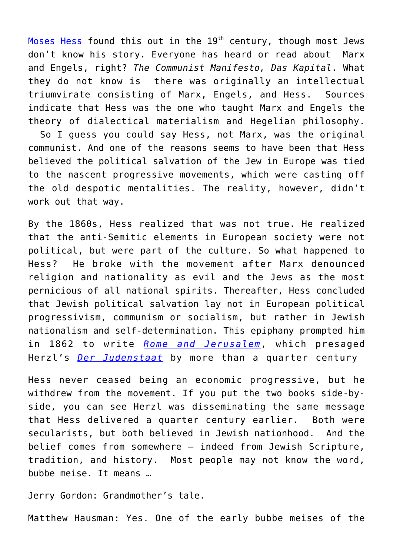[Moses Hess](https://en.wikipedia.org/wiki/Moses_Hess) found this out in the 19<sup>th</sup> century, though most Jews don't know his story. Everyone has heard or read about Marx and Engels, right? *The Communist Manifesto, Das Kapital*. What they do not know is there was originally an intellectual triumvirate consisting of Marx, Engels, and Hess. Sources indicate that Hess was the one who taught Marx and Engels the theory of dialectical materialism and Hegelian philosophy.

 So I guess you could say Hess, not Marx, was the original communist. And one of the reasons seems to have been that Hess believed the political salvation of the Jew in Europe was tied to the nascent progressive movements, which were casting off the old despotic mentalities. The reality, however, didn't work out that way.

By the 1860s, Hess realized that was not true. He realized that the anti-Semitic elements in European society were not political, but were part of the culture. So what happened to Hess? He broke with the movement after Marx denounced religion and nationality as evil and the Jews as the most pernicious of all national spirits. Thereafter, Hess concluded that Jewish political salvation lay not in European political progressivism, communism or socialism, but rather in Jewish nationalism and self-determination. This epiphany prompted him in 1862 to write *[Rome and Jerusalem](https://archive.org/details/romeandjerusale02waxmgoog)*, which presaged Herzl's *[Der Judenstaat](https://israelforever.org/programs/myherzl/der_judenstaat_the_jewish_state/)* by more than a quarter century

Hess never ceased being an economic progressive, but he withdrew from the movement. If you put the two books side-byside, you can see Herzl was disseminating the same message that Hess delivered a quarter century earlier. Both were secularists, but both believed in Jewish nationhood. And the belief comes from somewhere – indeed from Jewish Scripture, tradition, and history. Most people may not know the word, bubbe meise. It means …

Jerry Gordon: Grandmother's tale.

Matthew Hausman: Yes. One of the early bubbe meises of the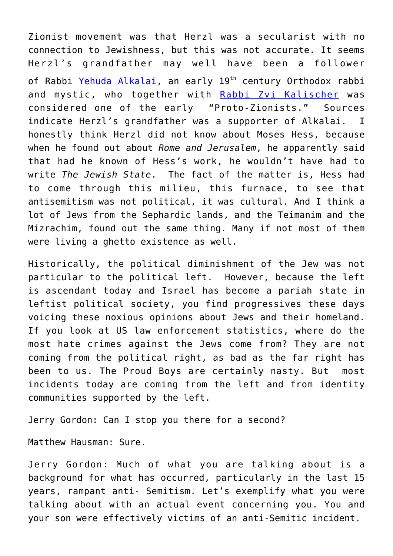Zionist movement was that Herzl was a secularist with no connection to Jewishness, but this was not accurate. It seems Herzl's grandfather may well have been a follower of Rabbi [Yehuda Alkalai](https://zionism-israel.com/bio/alkalai_biography.htm), an early 19<sup>th</sup> century Orthodox rabbi and mystic, who together with [Rabbi Zvi Kalischer](https://www.jewishvirtuallibrary.org/zevi-hirsch-kalischer) was considered one of the early "Proto-Zionists." Sources indicate Herzl's grandfather was a supporter of Alkalai. I honestly think Herzl did not know about Moses Hess, because when he found out about *Rome and Jerusalem*, he apparently said that had he known of Hess's work, he wouldn't have had to write *The Jewish State*. The fact of the matter is, Hess had to come through this milieu, this furnace, to see that antisemitism was not political, it was cultural. And I think a lot of Jews from the Sephardic lands, and the Teimanim and the Mizrachim, found out the same thing. Many if not most of them were living a ghetto existence as well.

Historically, the political diminishment of the Jew was not particular to the political left. However, because the left is ascendant today and Israel has become a pariah state in leftist political society, you find progressives these days voicing these noxious opinions about Jews and their homeland. If you look at US law enforcement statistics, where do the most hate crimes against the Jews come from? They are not coming from the political right, as bad as the far right has been to us. The Proud Boys are certainly nasty. But most incidents today are coming from the left and from identity communities supported by the left.

Jerry Gordon: Can I stop you there for a second?

Matthew Hausman: Sure.

Jerry Gordon: Much of what you are talking about is a background for what has occurred, particularly in the last 15 years, rampant anti- Semitism. Let's exemplify what you were talking about with an actual event concerning you. You and your son were effectively victims of an anti-Semitic incident.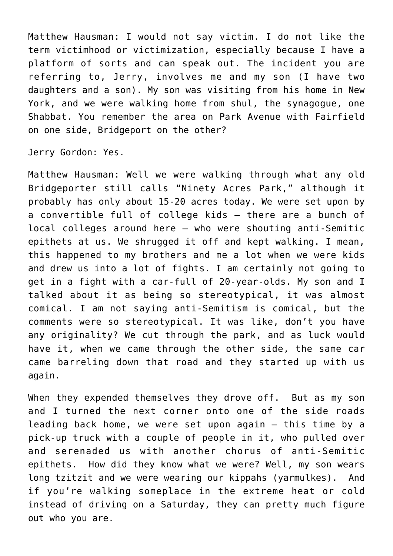Matthew Hausman: I would not say victim. I do not like the term victimhood or victimization, especially because I have a platform of sorts and can speak out. The incident you are referring to, Jerry, involves me and my son (I have two daughters and a son). My son was visiting from his home in New York, and we were walking home from shul, the synagogue, one Shabbat. You remember the area on Park Avenue with Fairfield on one side, Bridgeport on the other?

Jerry Gordon: Yes.

Matthew Hausman: Well we were walking through what any old Bridgeporter still calls "Ninety Acres Park," although it probably has only about 15-20 acres today. We were set upon by a convertible full of college kids – there are a bunch of local colleges around here – who were shouting anti-Semitic epithets at us. We shrugged it off and kept walking. I mean, this happened to my brothers and me a lot when we were kids and drew us into a lot of fights. I am certainly not going to get in a fight with a car-full of 20-year-olds. My son and I talked about it as being so stereotypical, it was almost comical. I am not saying anti-Semitism is comical, but the comments were so stereotypical. It was like, don't you have any originality? We cut through the park, and as luck would have it, when we came through the other side, the same car came barreling down that road and they started up with us again.

When they expended themselves they drove off. But as my son and I turned the next corner onto one of the side roads leading back home, we were set upon again – this time by a pick-up truck with a couple of people in it, who pulled over and serenaded us with another chorus of anti-Semitic epithets. How did they know what we were? Well, my son wears long tzitzit and we were wearing our kippahs (yarmulkes). And if you're walking someplace in the extreme heat or cold instead of driving on a Saturday, they can pretty much figure out who you are.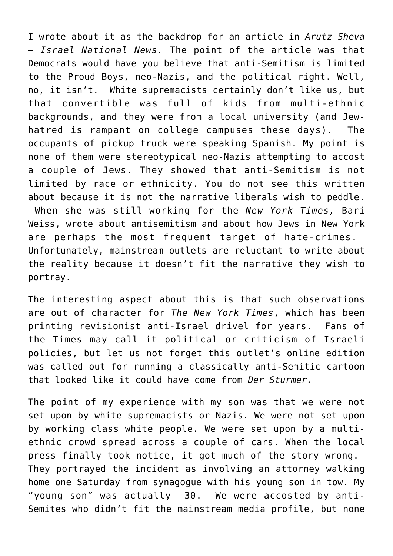I wrote about it as the backdrop for an article in *Arutz Sheva – Israel National News.* The point of the article was that Democrats would have you believe that anti-Semitism is limited to the Proud Boys, neo-Nazis, and the political right. Well, no, it isn't. White supremacists certainly don't like us, but that convertible was full of kids from multi-ethnic backgrounds, and they were from a local university (and Jewhatred is rampant on college campuses these days). The occupants of pickup truck were speaking Spanish. My point is none of them were stereotypical neo-Nazis attempting to accost a couple of Jews. They showed that anti-Semitism is not limited by race or ethnicity. You do not see this written about because it is not the narrative liberals wish to peddle. When she was still working for the *New York Times,* Bari Weiss, wrote about antisemitism and about how Jews in New York are perhaps the most frequent target of hate-crimes. Unfortunately, mainstream outlets are reluctant to write about the reality because it doesn't fit the narrative they wish to portray.

The interesting aspect about this is that such observations are out of character for *The New York Times*, which has been printing revisionist anti-Israel drivel for years. Fans of the Times may call it political or criticism of Israeli policies, but let us not forget this outlet's online edition was called out for running a classically anti-Semitic cartoon that looked like it could have come from *Der Sturmer.*

The point of my experience with my son was that we were not set upon by white supremacists or Nazis. We were not set upon by working class white people. We were set upon by a multiethnic crowd spread across a couple of cars. When the local press finally took notice, it got much of the story wrong. They portrayed the incident as involving an attorney walking home one Saturday from synagogue with his young son in tow. My "young son" was actually 30. We were accosted by anti-Semites who didn't fit the mainstream media profile, but none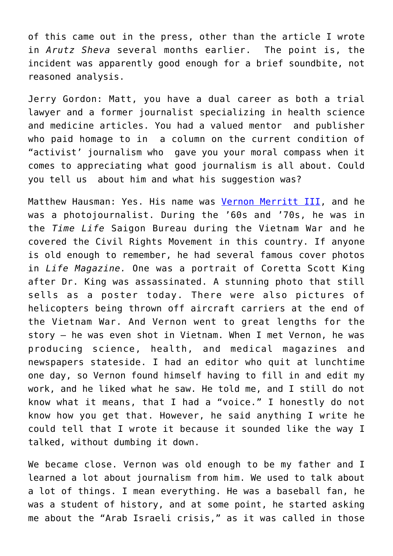of this came out in the press, other than the article I wrote in *Arutz Sheva* several months earlier. The point is, the incident was apparently good enough for a brief soundbite, not reasoned analysis.

Jerry Gordon: Matt, you have a dual career as both a trial lawyer and a former journalist specializing in health science and medicine articles. You had a valued mentor and publisher who paid homage to in a column on the current condition of "activist' journalism who gave you your moral compass when it comes to appreciating what good journalism is all about. Could you tell us about him and what his suggestion was?

Matthew Hausman: Yes. His name was [Vernon Merritt III,](https://www.latimes.com/archives/la-xpm-2000-sep-04-me-15209-story.html) and he was a photojournalist. During the '60s and '70s, he was in the *Time Life* Saigon Bureau during the Vietnam War and he covered the Civil Rights Movement in this country. If anyone is old enough to remember, he had several famous cover photos in *Life Magazine.* One was a portrait of Coretta Scott King after Dr. King was assassinated. A stunning photo that still sells as a poster today. There were also pictures of helicopters being thrown off aircraft carriers at the end of the Vietnam War. And Vernon went to great lengths for the story – he was even shot in Vietnam. When I met Vernon, he was producing science, health, and medical magazines and newspapers stateside. I had an editor who quit at lunchtime one day, so Vernon found himself having to fill in and edit my work, and he liked what he saw. He told me, and I still do not know what it means, that I had a "voice." I honestly do not know how you get that. However, he said anything I write he could tell that I wrote it because it sounded like the way I talked, without dumbing it down.

We became close. Vernon was old enough to be my father and I learned a lot about journalism from him. We used to talk about a lot of things. I mean everything. He was a baseball fan, he was a student of history, and at some point, he started asking me about the "Arab Israeli crisis," as it was called in those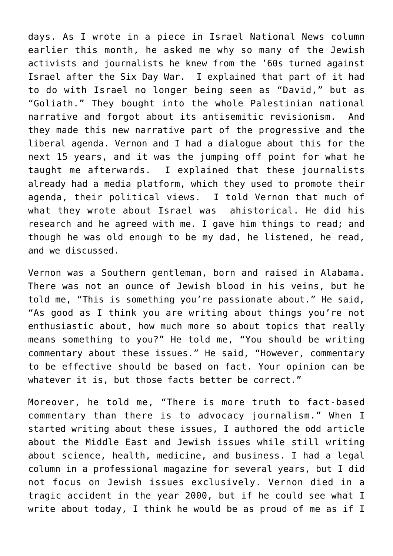days. As I wrote in a piece in Israel National News column earlier this month, he asked me why so many of the Jewish activists and journalists he knew from the '60s turned against Israel after the Six Day War. I explained that part of it had to do with Israel no longer being seen as "David," but as "Goliath." They bought into the whole Palestinian national narrative and forgot about its antisemitic revisionism. And they made this new narrative part of the progressive and the liberal agenda. Vernon and I had a dialogue about this for the next 15 years, and it was the jumping off point for what he taught me afterwards. I explained that these journalists already had a media platform, which they used to promote their agenda, their political views. I told Vernon that much of what they wrote about Israel was ahistorical. He did his research and he agreed with me. I gave him things to read; and though he was old enough to be my dad, he listened, he read, and we discussed.

Vernon was a Southern gentleman, born and raised in Alabama. There was not an ounce of Jewish blood in his veins, but he told me, "This is something you're passionate about." He said, "As good as I think you are writing about things you're not enthusiastic about, how much more so about topics that really means something to you?" He told me, "You should be writing commentary about these issues." He said, "However, commentary to be effective should be based on fact. Your opinion can be whatever it is, but those facts better be correct."

Moreover, he told me, "There is more truth to fact-based commentary than there is to advocacy journalism." When I started writing about these issues, I authored the odd article about the Middle East and Jewish issues while still writing about science, health, medicine, and business. I had a legal column in a professional magazine for several years, but I did not focus on Jewish issues exclusively. Vernon died in a tragic accident in the year 2000, but if he could see what I write about today, I think he would be as proud of me as if I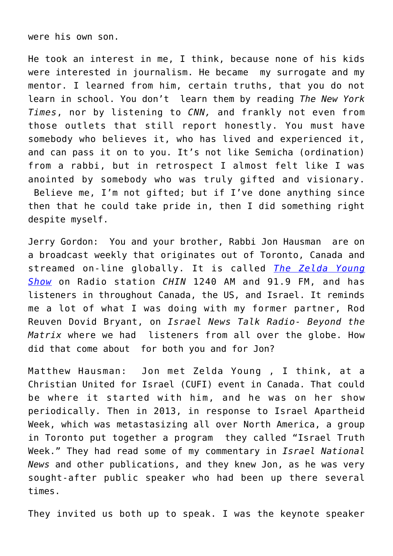were his own son.

He took an interest in me, I think, because none of his kids were interested in journalism. He became my surrogate and my mentor. I learned from him, certain truths, that you do not learn in school. You don't learn them by reading *The New York Times*, nor by listening to *CNN,* and frankly not even from those outlets that still report honestly. You must have somebody who believes it, who has lived and experienced it, and can pass it on to you. It's not like Semicha (ordination) from a rabbi, but in retrospect I almost felt like I was anointed by somebody who was truly gifted and visionary. Believe me, I'm not gifted; but if I've done anything since then that he could take pride in, then I did something right despite myself.

Jerry Gordon: You and your brother, Rabbi Jon Hausman are on a broadcast weekly that originates out of Toronto, Canada and streamed on-line globally. It is called *[The Zelda Young](https://cbsc.ca/cbsc-decisions/page/chin-re-zelda-young-show/) [Show](https://cbsc.ca/cbsc-decisions/page/chin-re-zelda-young-show/)* on Radio station *CHIN* 1240 AM and 91.9 FM, and has listeners in throughout Canada, the US, and Israel. It reminds me a lot of what I was doing with my former partner, Rod Reuven Dovid Bryant, on *Israel News Talk Radio- Beyond the Matrix* where we had listeners from all over the globe. How did that come about for both you and for Jon?

Matthew Hausman: Jon met Zelda Young , I think, at a Christian United for Israel (CUFI) event in Canada. That could be where it started with him, and he was on her show periodically. Then in 2013, in response to Israel Apartheid Week, which was metastasizing all over North America, a group in Toronto put together a program they called "Israel Truth Week." They had read some of my commentary in *Israel National News* and other publications, and they knew Jon, as he was very sought-after public speaker who had been up there several times.

They invited us both up to speak. I was the keynote speaker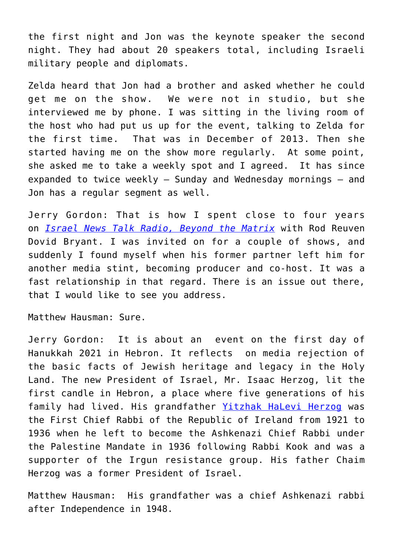the first night and Jon was the keynote speaker the second night. They had about 20 speakers total, including Israeli military people and diplomats.

Zelda heard that Jon had a brother and asked whether he could get me on the show. We were not in studio, but she interviewed me by phone. I was sitting in the living room of the host who had put us up for the event, talking to Zelda for the first time. That was in December of 2013. Then she started having me on the show more regularly. At some point, she asked me to take a weekly spot and I agreed. It has since expanded to twice weekly – Sunday and Wednesday mornings – and Jon has a regular segment as well.

Jerry Gordon: That is how I spent close to four years on *[Israel News Talk Radio, Beyond the Matrix](https://soundcloud.com/israel-news-talk-radio/israel-the-superpower-behind-the-new-middle-east-beyond-the-matrix)* with Rod Reuven Dovid Bryant. I was invited on for a couple of shows, and suddenly I found myself when his former partner left him for another media stint, becoming producer and co-host. It was a fast relationship in that regard. There is an issue out there, that I would like to see you address.

Matthew Hausman: Sure.

Jerry Gordon: It is about an event on the first day of Hanukkah 2021 in Hebron. It reflects on media rejection of the basic facts of Jewish heritage and legacy in the Holy Land. The new President of Israel, Mr. Isaac Herzog, lit the first candle in Hebron, a place where five generations of his family had lived. His grandfather [Yitzhak HaLevi Herzog](https://en.wikipedia.org/wiki/Yitzhak_HaLevi_Herzog) was the First Chief Rabbi of the Republic of Ireland from 1921 to 1936 when he left to become the Ashkenazi Chief Rabbi under the Palestine Mandate in 1936 following Rabbi Kook and was a supporter of the Irgun resistance group. His father Chaim Herzog was a former President of Israel.

Matthew Hausman: His grandfather was a chief Ashkenazi rabbi after Independence in 1948.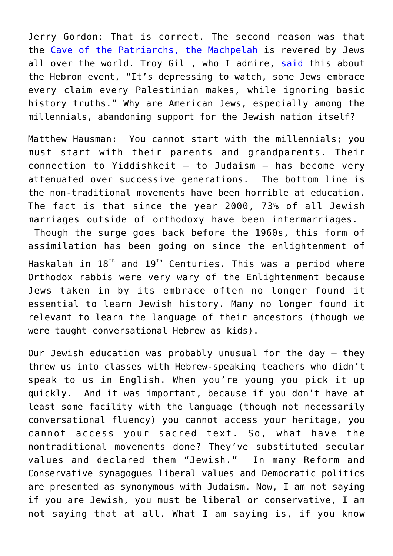Jerry Gordon: That is correct. The second reason was that the [Cave of the Patriarchs, the Machpelah](https://www.jewishvirtuallibrary.org/tomb-of-the-patriarchs-ma-arat-hamachpelah#:~:text=The%20Cave%20of%20Machpelah%20is%20the%20world%27s%20most,later%20buried%20in%20the%20same%20Cave%20of%20Machpelah.) is revered by Jews all over the world. Troy Gil , who I admire, [said](http://giltroy.com/the-jerusalem-post/hanukkah-should-not-be-jingelified-like-christmas-opinion/) this about the Hebron event, "It's depressing to watch, some Jews embrace every claim every Palestinian makes, while ignoring basic history truths." Why are American Jews, especially among the millennials, abandoning support for the Jewish nation itself?

Matthew Hausman: You cannot start with the millennials; you must start with their parents and grandparents. Their connection to Yiddishkeit – to Judaism – has become very attenuated over successive generations. The bottom line is the non-traditional movements have been horrible at education. The fact is that since the year 2000, 73% of all Jewish marriages outside of orthodoxy have been intermarriages. Though the surge goes back before the 1960s, this form of assimilation has been going on since the enlightenment of Haskalah in  $18^{th}$  and  $19^{th}$  Centuries. This was a period where Orthodox rabbis were very wary of the Enlightenment because Jews taken in by its embrace often no longer found it essential to learn Jewish history. Many no longer found it relevant to learn the language of their ancestors (though we were taught conversational Hebrew as kids).

Our Jewish education was probably unusual for the day – they threw us into classes with Hebrew-speaking teachers who didn't speak to us in English. When you're young you pick it up quickly. And it was important, because if you don't have at least some facility with the language (though not necessarily conversational fluency) you cannot access your heritage, you cannot access your sacred text. So, what have the nontraditional movements done? They've substituted secular values and declared them "Jewish." In many Reform and Conservative synagogues liberal values and Democratic politics are presented as synonymous with Judaism. Now, I am not saying if you are Jewish, you must be liberal or conservative, I am not saying that at all. What I am saying is, if you know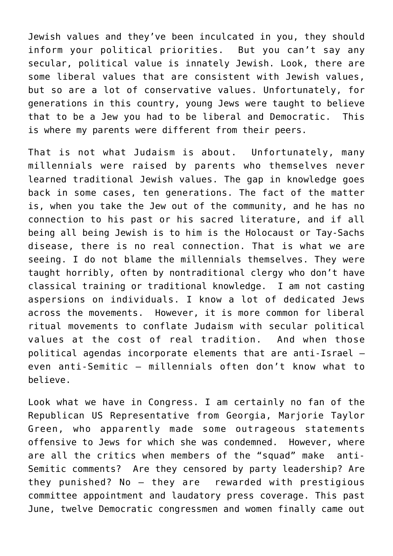Jewish values and they've been inculcated in you, they should inform your political priorities. But you can't say any secular, political value is innately Jewish. Look, there are some liberal values that are consistent with Jewish values, but so are a lot of conservative values. Unfortunately, for generations in this country, young Jews were taught to believe that to be a Jew you had to be liberal and Democratic. This is where my parents were different from their peers.

That is not what Judaism is about. Unfortunately, many millennials were raised by parents who themselves never learned traditional Jewish values. The gap in knowledge goes back in some cases, ten generations. The fact of the matter is, when you take the Jew out of the community, and he has no connection to his past or his sacred literature, and if all being all being Jewish is to him is the Holocaust or Tay-Sachs disease, there is no real connection. That is what we are seeing. I do not blame the millennials themselves. They were taught horribly, often by nontraditional clergy who don't have classical training or traditional knowledge. I am not casting aspersions on individuals. I know a lot of dedicated Jews across the movements. However, it is more common for liberal ritual movements to conflate Judaism with secular political values at the cost of real tradition. And when those political agendas incorporate elements that are anti-Israel – even anti-Semitic – millennials often don't know what to believe.

Look what we have in Congress. I am certainly no fan of the Republican US Representative from Georgia, Marjorie Taylor Green, who apparently made some outrageous statements offensive to Jews for which she was condemned. However, where are all the critics when members of the "squad" make anti-Semitic comments? Are they censored by party leadership? Are they punished? No – they are rewarded with prestigious committee appointment and laudatory press coverage. This past June, twelve Democratic congressmen and women finally came out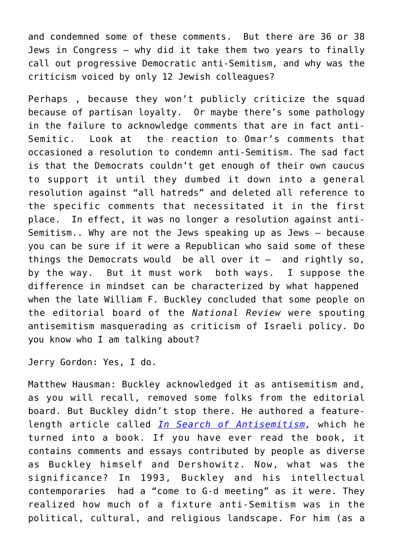and condemned some of these comments. But there are 36 or 38 Jews in Congress – why did it take them two years to finally call out progressive Democratic anti-Semitism, and why was the criticism voiced by only 12 Jewish colleagues?

Perhaps , because they won't publicly criticize the squad because of partisan loyalty. Or maybe there's some pathology in the failure to acknowledge comments that are in fact anti-Semitic. Look at the reaction to Omar's comments that occasioned a resolution to condemn anti-Semitism. The sad fact is that the Democrats couldn't get enough of their own caucus to support it until they dumbed it down into a general resolution against "all hatreds" and deleted all reference to the specific comments that necessitated it in the first place. In effect, it was no longer a resolution against anti-Semitism.. Why are not the Jews speaking up as Jews – because you can be sure if it were a Republican who said some of these things the Democrats would be all over  $it -$  and rightly so, by the way. But it must work both ways. I suppose the difference in mindset can be characterized by what happened when the late William F. Buckley concluded that some people on the editorial board of the *National Review* were spouting antisemitism masquerading as criticism of Israeli policy. Do you know who I am talking about?

Jerry Gordon: Yes, I do.

Matthew Hausman: Buckley acknowledged it as antisemitism and, as you will recall, removed some folks from the editorial board. But Buckley didn't stop there. He authored a featurelength article called *[In Search of Antisemitism,](https://www.amazon.com/Search-Anti-Semitism-William-F-Buckley/dp/0826405835)* which he turned into a book. If you have ever read the book, it contains comments and essays contributed by people as diverse as Buckley himself and Dershowitz. Now, what was the significance? In 1993, Buckley and his intellectual contemporaries had a "come to G-d meeting" as it were. They realized how much of a fixture anti-Semitism was in the political, cultural, and religious landscape. For him (as a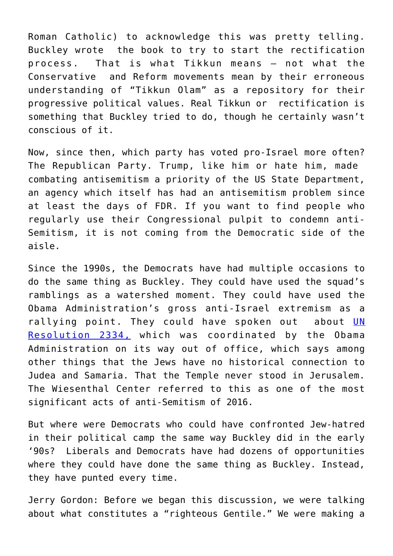Roman Catholic) to acknowledge this was pretty telling. Buckley wrote the book to try to start the rectification process. That is what Tikkun means – not what the Conservative and Reform movements mean by their erroneous understanding of "Tikkun Olam" as a repository for their progressive political values. Real Tikkun or rectification is something that Buckley tried to do, though he certainly wasn't conscious of it.

Now, since then, which party has voted pro-Israel more often? The Republican Party. Trump, like him or hate him, made combating antisemitism a priority of the US State Department, an agency which itself has had an antisemitism problem since at least the days of FDR. If you want to find people who regularly use their Congressional pulpit to condemn anti-Semitism, it is not coming from the Democratic side of the aisle.

Since the 1990s, the Democrats have had multiple occasions to do the same thing as Buckley. They could have used the squad's ramblings as a watershed moment. They could have used the Obama Administration's gross anti-Israel extremism as a rallying point. They could have spoken out about [UN](https://jcpa.org/article/understanding-resolution-2334-obama-administration-betray-israel-un/) [Resolution 2334,](https://jcpa.org/article/understanding-resolution-2334-obama-administration-betray-israel-un/) which was coordinated by the Obama Administration on its way out of office, which says among other things that the Jews have no historical connection to Judea and Samaria. That the Temple never stood in Jerusalem. The Wiesenthal Center referred to this as one of the most significant acts of anti-Semitism of 2016.

But where were Democrats who could have confronted Jew-hatred in their political camp the same way Buckley did in the early '90s? Liberals and Democrats have had dozens of opportunities where they could have done the same thing as Buckley. Instead, they have punted every time.

Jerry Gordon: Before we began this discussion, we were talking about what constitutes a "righteous Gentile." We were making a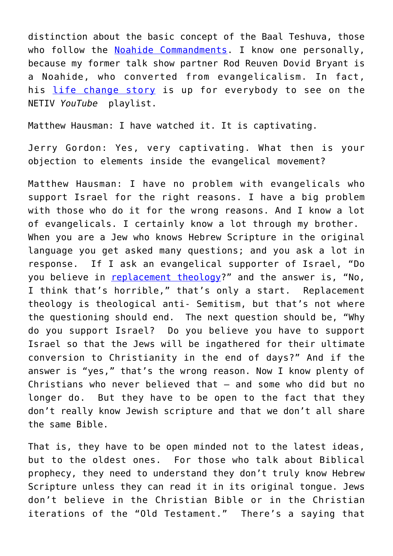distinction about the basic concept of the Baal Teshuva, those who follow the [Noahide Commandments.](https://www.jewishvirtuallibrary.org/the-seven-noachide-laws#:~:text=The%20seven%20Noachide%20laws%2C%20as%20traditionally%20enumerated%20are%3A,7%20Establish%20Courts%2FLegal%20System%20to%20Ensure%20Law%20Obedience) I know one personally, because my former talk show partner Rod Reuven Dovid Bryant is a Noahide, who converted from evangelicalism. In fact, his [life change story](https://www.bing.com/videos/search?q=rod+reuven+dovid++bryant+life+story+YouTube+video+2015&docid=607999285758934696&mid=DAB9A60B1E67DCB84A87DAB9A60B1E67DCB84A87&view=detail&FORM=VIRE) is up for everybody to see on the NETIV *YouTube* playlist.

Matthew Hausman: I have watched it. It is captivating.

Jerry Gordon: Yes, very captivating. What then is your objection to elements inside the evangelical movement?

Matthew Hausman: I have no problem with evangelicals who support Israel for the right reasons. I have a big problem with those who do it for the wrong reasons. And I know a lot of evangelicals. I certainly know a lot through my brother. When you are a Jew who knows Hebrew Scripture in the original language you get asked many questions; and you ask a lot in response. If I ask an evangelical supporter of Israel, "Do you believe in [replacement theology?](https://www.jewishvoice.org/learn/replacement-theology)" and the answer is, "No, I think that's horrible," that's only a start. Replacement theology is theological anti- Semitism, but that's not where the questioning should end. The next question should be, "Why do you support Israel? Do you believe you have to support Israel so that the Jews will be ingathered for their ultimate conversion to Christianity in the end of days?" And if the answer is "yes," that's the wrong reason. Now I know plenty of Christians who never believed that – and some who did but no longer do. But they have to be open to the fact that they don't really know Jewish scripture and that we don't all share the same Bible.

That is, they have to be open minded not to the latest ideas, but to the oldest ones. For those who talk about Biblical prophecy, they need to understand they don't truly know Hebrew Scripture unless they can read it in its original tongue. Jews don't believe in the Christian Bible or in the Christian iterations of the "Old Testament." There's a saying that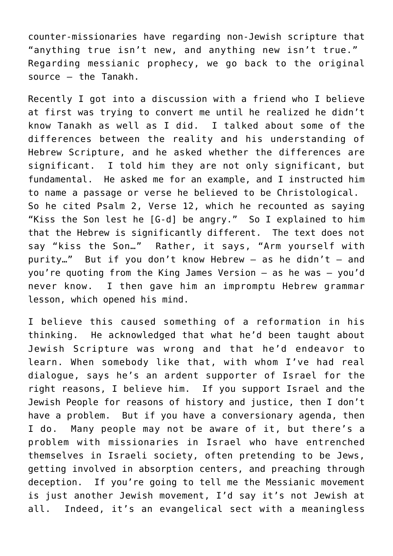counter-missionaries have regarding non-Jewish scripture that "anything true isn't new, and anything new isn't true." Regarding messianic prophecy, we go back to the original source – the Tanakh.

Recently I got into a discussion with a friend who I believe at first was trying to convert me until he realized he didn't know Tanakh as well as I did. I talked about some of the differences between the reality and his understanding of Hebrew Scripture, and he asked whether the differences are significant. I told him they are not only significant, but fundamental. He asked me for an example, and I instructed him to name a passage or verse he believed to be Christological. So he cited Psalm 2, Verse 12, which he recounted as saying "Kiss the Son lest he [G-d] be angry." So I explained to him that the Hebrew is significantly different. The text does not say "kiss the Son…" Rather, it says, "Arm yourself with purity..." But if you don't know Hebrew  $-$  as he didn't  $-$  and you're quoting from the King James Version – as he was – you'd never know. I then gave him an impromptu Hebrew grammar lesson, which opened his mind.

I believe this caused something of a reformation in his thinking. He acknowledged that what he'd been taught about Jewish Scripture was wrong and that he'd endeavor to learn. When somebody like that, with whom I've had real dialogue, says he's an ardent supporter of Israel for the right reasons, I believe him. If you support Israel and the Jewish People for reasons of history and justice, then I don't have a problem. But if you have a conversionary agenda, then I do. Many people may not be aware of it, but there's a problem with missionaries in Israel who have entrenched themselves in Israeli society, often pretending to be Jews, getting involved in absorption centers, and preaching through deception. If you're going to tell me the Messianic movement is just another Jewish movement, I'd say it's not Jewish at all. Indeed, it's an evangelical sect with a meaningless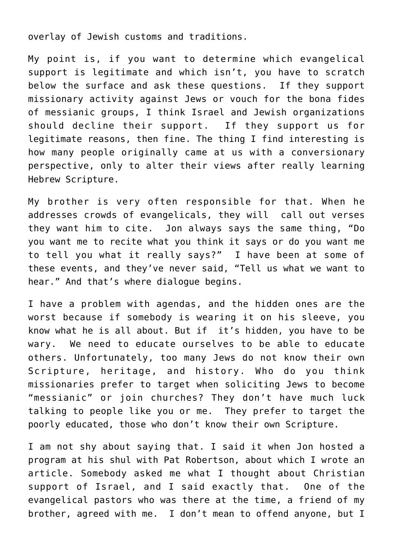overlay of Jewish customs and traditions.

My point is, if you want to determine which evangelical support is legitimate and which isn't, you have to scratch below the surface and ask these questions. If they support missionary activity against Jews or vouch for the bona fides of messianic groups, I think Israel and Jewish organizations should decline their support. If they support us for legitimate reasons, then fine. The thing I find interesting is how many people originally came at us with a conversionary perspective, only to alter their views after really learning Hebrew Scripture.

My brother is very often responsible for that. When he addresses crowds of evangelicals, they will call out verses they want him to cite. Jon always says the same thing, "Do you want me to recite what you think it says or do you want me to tell you what it really says?" I have been at some of these events, and they've never said, "Tell us what we want to hear." And that's where dialogue begins.

I have a problem with agendas, and the hidden ones are the worst because if somebody is wearing it on his sleeve, you know what he is all about. But if it's hidden, you have to be wary. We need to educate ourselves to be able to educate others. Unfortunately, too many Jews do not know their own Scripture, heritage, and history. Who do you think missionaries prefer to target when soliciting Jews to become "messianic" or join churches? They don't have much luck talking to people like you or me. They prefer to target the poorly educated, those who don't know their own Scripture.

I am not shy about saying that. I said it when Jon hosted a program at his shul with Pat Robertson, about which I wrote an article. Somebody asked me what I thought about Christian support of Israel, and I said exactly that. One of the evangelical pastors who was there at the time, a friend of my brother, agreed with me. I don't mean to offend anyone, but I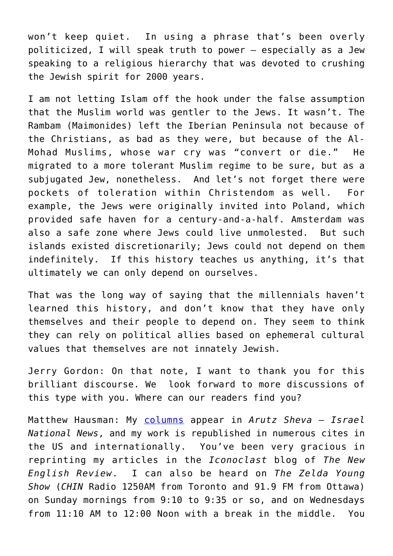won't keep quiet. In using a phrase that's been overly politicized, I will speak truth to power – especially as a Jew speaking to a religious hierarchy that was devoted to crushing the Jewish spirit for 2000 years.

I am not letting Islam off the hook under the false assumption that the Muslim world was gentler to the Jews. It wasn't. The Rambam (Maimonides) left the Iberian Peninsula not because of the Christians, as bad as they were, but because of the Al-Mohad Muslims, whose war cry was "convert or die." He migrated to a more tolerant Muslim regime to be sure, but as a subjugated Jew, nonetheless. And let's not forget there were pockets of toleration within Christendom as well. For example, the Jews were originally invited into Poland, which provided safe haven for a century-and-a-half. Amsterdam was also a safe zone where Jews could live unmolested. But such islands existed discretionarily; Jews could not depend on them indefinitely. If this history teaches us anything, it's that ultimately we can only depend on ourselves.

That was the long way of saying that the millennials haven't learned this history, and don't know that they have only themselves and their people to depend on. They seem to think they can rely on political allies based on ephemeral cultural values that themselves are not innately Jewish.

Jerry Gordon: On that note, I want to thank you for this brilliant discourse. We look forward to more discussions of this type with you. Where can our readers find you?

Matthew Hausman: My [columns](https://muckrack.com/matthew-m-hausman/articles) appear in *Arutz Sheva – Israel National News*, and my work is republished in numerous cites in the US and internationally. You've been very gracious in reprinting my articles in the *Iconoclast* blog of *The New English Review*. I can also be heard on *The Zelda Young Show* (*CHIN* Radio 1250AM from Toronto and 91.9 FM from Ottawa) on Sunday mornings from 9:10 to 9:35 or so, and on Wednesdays from 11:10 AM to 12:00 Noon with a break in the middle. You